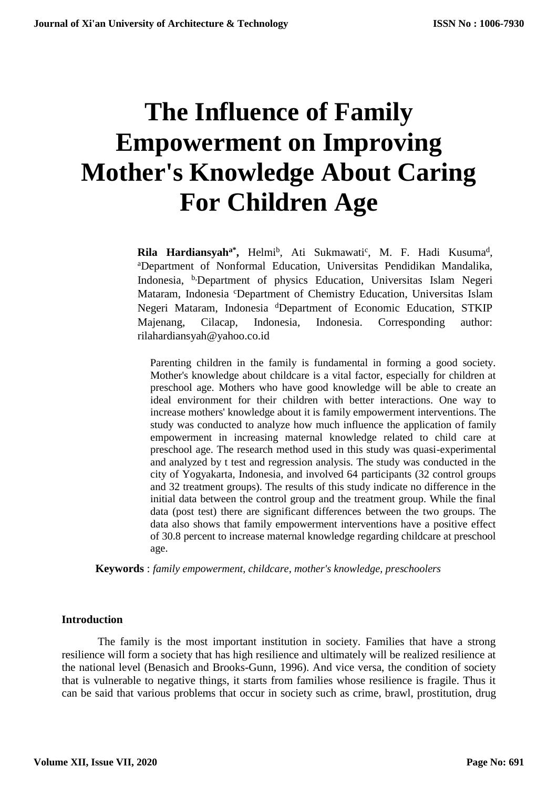# **The Influence of Family Empowerment on Improving Mother's Knowledge About Caring For Children Age**

Rila Hardiansyah<sup>a\*</sup>, Helmi<sup>b</sup>, Ati Sukmawati<sup>c</sup>, M. F. Hadi Kusuma<sup>d</sup>, <sup>a</sup>Department of Nonformal Education, Universitas Pendidikan Mandalika, Indonesia, b,Department of physics Education, Universitas Islam Negeri Mataram, Indonesia <sup>c</sup>Department of Chemistry Education, Universitas Islam Negeri Mataram, Indonesia <sup>d</sup>Department of Economic Education, STKIP Majenang, Cilacap, Indonesia, Indonesia. Corresponding author: rilahardiansyah@yahoo.co.id

Parenting children in the family is fundamental in forming a good society. Mother's knowledge about childcare is a vital factor, especially for children at preschool age. Mothers who have good knowledge will be able to create an ideal environment for their children with better interactions. One way to increase mothers' knowledge about it is family empowerment interventions. The study was conducted to analyze how much influence the application of family empowerment in increasing maternal knowledge related to child care at preschool age. The research method used in this study was quasi-experimental and analyzed by t test and regression analysis. The study was conducted in the city of Yogyakarta, Indonesia, and involved 64 participants (32 control groups and 32 treatment groups). The results of this study indicate no difference in the initial data between the control group and the treatment group. While the final data (post test) there are significant differences between the two groups. The data also shows that family empowerment interventions have a positive effect of 30.8 percent to increase maternal knowledge regarding childcare at preschool age.

**Keywords** : *family empowerment, childcare, mother's knowledge, preschoolers*

#### **Introduction**

The family is the most important institution in society. Families that have a strong resilience will form a society that has high resilience and ultimately will be realized resilience at the national level (Benasich and Brooks-Gunn, 1996). And vice versa, the condition of society that is vulnerable to negative things, it starts from families whose resilience is fragile. Thus it can be said that various problems that occur in society such as crime, brawl, prostitution, drug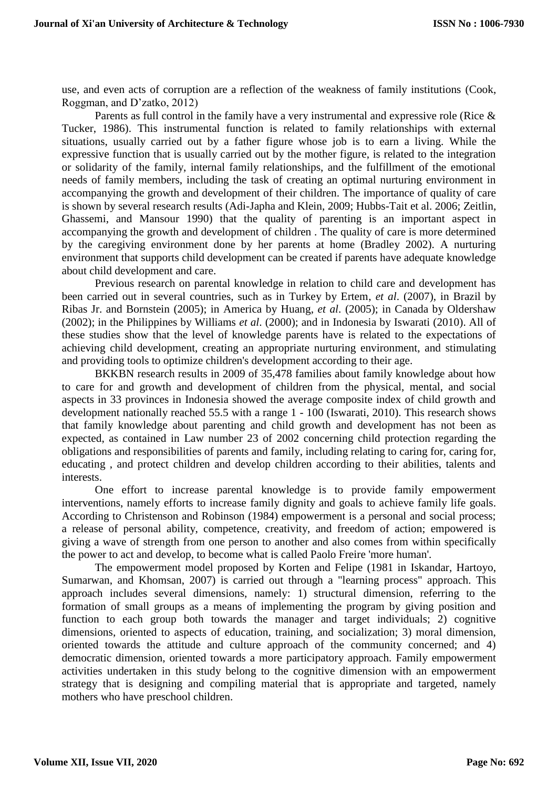use, and even acts of corruption are a reflection of the weakness of family institutions (Cook, Roggman, and D'zatko, 2012)

Parents as full control in the family have a very instrumental and expressive role (Rice & Tucker, 1986). This instrumental function is related to family relationships with external situations, usually carried out by a father figure whose job is to earn a living. While the expressive function that is usually carried out by the mother figure, is related to the integration or solidarity of the family, internal family relationships, and the fulfillment of the emotional needs of family members, including the task of creating an optimal nurturing environment in accompanying the growth and development of their children. The importance of quality of care is shown by several research results (Adi-Japha and Klein, 2009; Hubbs-Tait et al. 2006; Zeitlin, Ghassemi, and Mansour 1990) that the quality of parenting is an important aspect in accompanying the growth and development of children . The quality of care is more determined by the caregiving environment done by her parents at home (Bradley 2002). A nurturing environment that supports child development can be created if parents have adequate knowledge about child development and care.

Previous research on parental knowledge in relation to child care and development has been carried out in several countries, such as in Turkey by Ertem, *et al*. (2007), in Brazil by Ribas Jr. and Bornstein (2005); in America by Huang, *et al*. (2005); in Canada by Oldershaw (2002); in the Philippines by Williams *et al*. (2000); and in Indonesia by Iswarati (2010). All of these studies show that the level of knowledge parents have is related to the expectations of achieving child development, creating an appropriate nurturing environment, and stimulating and providing tools to optimize children's development according to their age.

BKKBN research results in 2009 of 35,478 families about family knowledge about how to care for and growth and development of children from the physical, mental, and social aspects in 33 provinces in Indonesia showed the average composite index of child growth and development nationally reached 55.5 with a range 1 - 100 (Iswarati, 2010). This research shows that family knowledge about parenting and child growth and development has not been as expected, as contained in Law number 23 of 2002 concerning child protection regarding the obligations and responsibilities of parents and family, including relating to caring for, caring for, educating , and protect children and develop children according to their abilities, talents and interests.

One effort to increase parental knowledge is to provide family empowerment interventions, namely efforts to increase family dignity and goals to achieve family life goals. According to Christenson and Robinson (1984) empowerment is a personal and social process; a release of personal ability, competence, creativity, and freedom of action; empowered is giving a wave of strength from one person to another and also comes from within specifically the power to act and develop, to become what is called Paolo Freire 'more human'.

The empowerment model proposed by Korten and Felipe (1981 in Iskandar, Hartoyo, Sumarwan, and Khomsan, 2007) is carried out through a "learning process" approach. This approach includes several dimensions, namely: 1) structural dimension, referring to the formation of small groups as a means of implementing the program by giving position and function to each group both towards the manager and target individuals; 2) cognitive dimensions, oriented to aspects of education, training, and socialization; 3) moral dimension, oriented towards the attitude and culture approach of the community concerned; and 4) democratic dimension, oriented towards a more participatory approach. Family empowerment activities undertaken in this study belong to the cognitive dimension with an empowerment strategy that is designing and compiling material that is appropriate and targeted, namely mothers who have preschool children.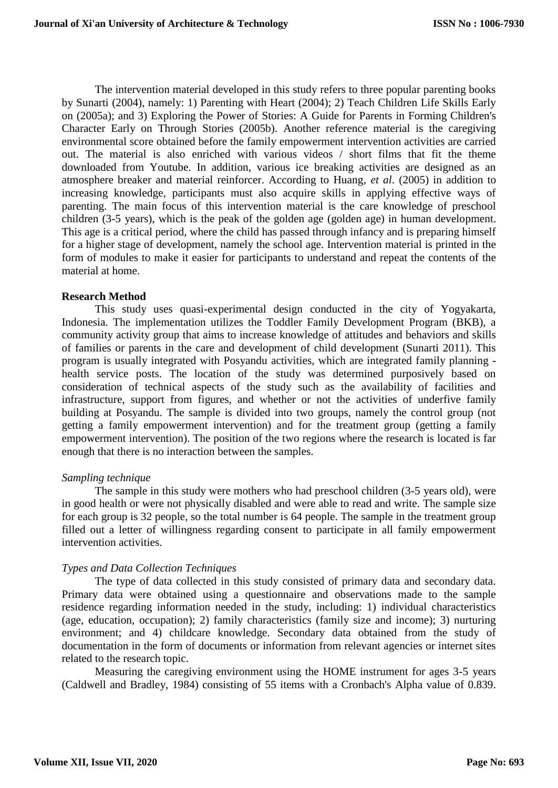The intervention material developed in this study refers to three popular parenting books by Sunarti (2004), namely: 1) Parenting with Heart (2004); 2) Teach Children Life Skills Early on (2005a); and 3) Exploring the Power of Stories: A Guide for Parents in Forming Children's Character Early on Through Stories (2005b). Another reference material is the caregiving environmental score obtained before the family empowerment intervention activities are carried out. The material is also enriched with various videos / short films that fit the theme downloaded from Youtube. In addition, various ice breaking activities are designed as an atmosphere breaker and material reinforcer. According to Huang, *et al*. (2005) in addition to increasing knowledge, participants must also acquire skills in applying effective ways of parenting. The main focus of this intervention material is the care knowledge of preschool children (3-5 years), which is the peak of the golden age (golden age) in human development. This age is a critical period, where the child has passed through infancy and is preparing himself for a higher stage of development, namely the school age. Intervention material is printed in the form of modules to make it easier for participants to understand and repeat the contents of the material at home.

# **Research Method**

This study uses quasi-experimental design conducted in the city of Yogyakarta, Indonesia. The implementation utilizes the Toddler Family Development Program (BKB), a community activity group that aims to increase knowledge of attitudes and behaviors and skills of families or parents in the care and development of child development (Sunarti 2011). This program is usually integrated with Posyandu activities, which are integrated family planning health service posts. The location of the study was determined purposively based on consideration of technical aspects of the study such as the availability of facilities and infrastructure, support from figures, and whether or not the activities of underfive family building at Posyandu. The sample is divided into two groups, namely the control group (not getting a family empowerment intervention) and for the treatment group (getting a family empowerment intervention). The position of the two regions where the research is located is far enough that there is no interaction between the samples.

# *Sampling technique*

The sample in this study were mothers who had preschool children (3-5 years old), were in good health or were not physically disabled and were able to read and write. The sample size for each group is 32 people, so the total number is 64 people. The sample in the treatment group filled out a letter of willingness regarding consent to participate in all family empowerment intervention activities.

# *Types and Data Collection Techniques*

The type of data collected in this study consisted of primary data and secondary data. Primary data were obtained using a questionnaire and observations made to the sample residence regarding information needed in the study, including: 1) individual characteristics (age, education, occupation); 2) family characteristics (family size and income); 3) nurturing environment; and 4) childcare knowledge. Secondary data obtained from the study of documentation in the form of documents or information from relevant agencies or internet sites related to the research topic.

Measuring the caregiving environment using the HOME instrument for ages 3-5 years (Caldwell and Bradley, 1984) consisting of 55 items with a Cronbach's Alpha value of 0.839.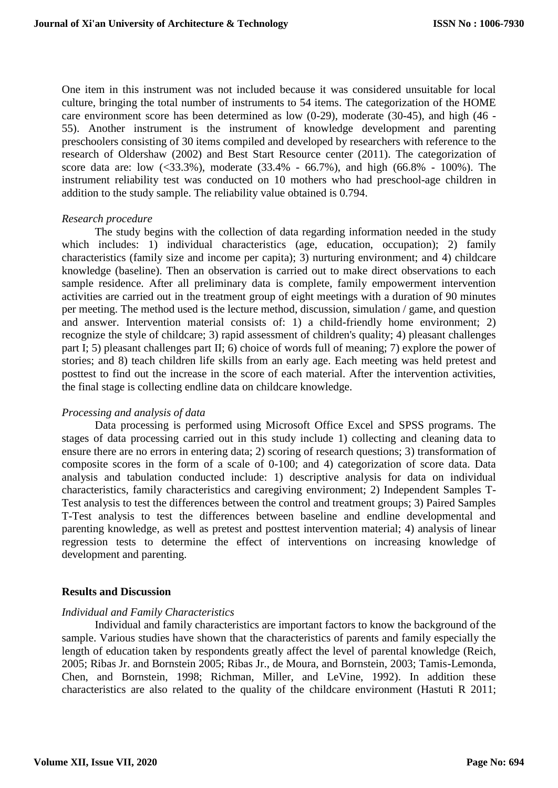One item in this instrument was not included because it was considered unsuitable for local culture, bringing the total number of instruments to 54 items. The categorization of the HOME care environment score has been determined as low (0-29), moderate (30-45), and high (46 - 55). Another instrument is the instrument of knowledge development and parenting preschoolers consisting of 30 items compiled and developed by researchers with reference to the research of Oldershaw (2002) and Best Start Resource center (2011). The categorization of score data are: low (<33.3%), moderate (33.4% - 66.7%), and high (66.8% - 100%). The instrument reliability test was conducted on 10 mothers who had preschool-age children in addition to the study sample. The reliability value obtained is 0.794.

#### *Research procedure*

The study begins with the collection of data regarding information needed in the study which includes: 1) individual characteristics (age, education, occupation); 2) family characteristics (family size and income per capita); 3) nurturing environment; and 4) childcare knowledge (baseline). Then an observation is carried out to make direct observations to each sample residence. After all preliminary data is complete, family empowerment intervention activities are carried out in the treatment group of eight meetings with a duration of 90 minutes per meeting. The method used is the lecture method, discussion, simulation / game, and question and answer. Intervention material consists of: 1) a child-friendly home environment; 2) recognize the style of childcare; 3) rapid assessment of children's quality; 4) pleasant challenges part I; 5) pleasant challenges part II; 6) choice of words full of meaning; 7) explore the power of stories; and 8) teach children life skills from an early age. Each meeting was held pretest and posttest to find out the increase in the score of each material. After the intervention activities, the final stage is collecting endline data on childcare knowledge.

#### *Processing and analysis of data*

Data processing is performed using Microsoft Office Excel and SPSS programs. The stages of data processing carried out in this study include 1) collecting and cleaning data to ensure there are no errors in entering data; 2) scoring of research questions; 3) transformation of composite scores in the form of a scale of 0-100; and 4) categorization of score data. Data analysis and tabulation conducted include: 1) descriptive analysis for data on individual characteristics, family characteristics and caregiving environment; 2) Independent Samples T-Test analysis to test the differences between the control and treatment groups; 3) Paired Samples T-Test analysis to test the differences between baseline and endline developmental and parenting knowledge, as well as pretest and posttest intervention material; 4) analysis of linear regression tests to determine the effect of interventions on increasing knowledge of development and parenting.

## **Results and Discussion**

#### *Individual and Family Characteristics*

Individual and family characteristics are important factors to know the background of the sample. Various studies have shown that the characteristics of parents and family especially the length of education taken by respondents greatly affect the level of parental knowledge (Reich, 2005; Ribas Jr. and Bornstein 2005; Ribas Jr., de Moura, and Bornstein, 2003; Tamis-Lemonda, Chen, and Bornstein, 1998; Richman, Miller, and LeVine, 1992). In addition these characteristics are also related to the quality of the childcare environment (Hastuti R 2011;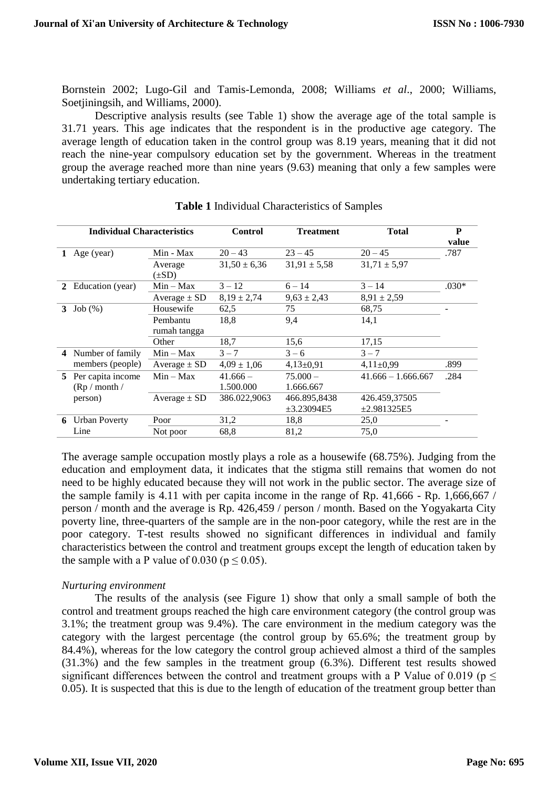Bornstein 2002; Lugo-Gil and Tamis-Lemonda, 2008; Williams *et al*., 2000; Williams, Soetjiningsih, and Williams, 2000).

Descriptive analysis results (see Table 1) show the average age of the total sample is 31.71 years. This age indicates that the respondent is in the productive age category. The average length of education taken in the control group was 8.19 years, meaning that it did not reach the nine-year compulsory education set by the government. Whereas in the treatment group the average reached more than nine years (9.63) meaning that only a few samples were undertaking tertiary education.

| <b>Individual Characteristics</b> |                      | <b>Control</b><br><b>Treatment</b> |                  | <b>Total</b>     | P                    |         |
|-----------------------------------|----------------------|------------------------------------|------------------|------------------|----------------------|---------|
|                                   |                      |                                    |                  |                  |                      | value   |
| 1                                 | Age (year)           | Min - Max                          | $20 - 43$        | $23 - 45$        | $20 - 45$            | .787    |
|                                   |                      | Average<br>$(\pm SD)$              | $31,50 \pm 6,36$ | $31,91 \pm 5,58$ | $31,71 \pm 5,97$     |         |
| 2                                 | Education (year)     | $Min - Max$                        | $3 - 12$         | $6 - 14$         | $3 - 14$             | $.030*$ |
|                                   |                      | Average $\pm$ SD                   | $8,19 \pm 2,74$  | $9,63 \pm 2,43$  | $8,91 \pm 2,59$      |         |
| 3                                 | Job(%)               | Housewife                          | 62,5             | 75               | 68,75                |         |
|                                   |                      | Pembantu                           | 18,8             | 9,4              | 14,1                 |         |
|                                   |                      | rumah tangga                       |                  |                  |                      |         |
|                                   |                      | Other                              | 18,7             | 15,6             | 17,15                |         |
|                                   | Number of family     | $Min - Max$                        | $3 - 7$          | $3 - 6$          | $3 - 7$              |         |
|                                   | members (people)     | Average $\pm$ SD                   | $4.09 \pm 1.06$  | $4,13\pm0,91$    | $4,11\pm0,99$        | .899    |
|                                   | 5 Per capita income  | $Min - Max$                        | $41.666 -$       | $75.000 -$       | $41.666 - 1.666.667$ | .284    |
|                                   | (Rp / month /        |                                    | 1.500.000        | 1.666.667        |                      |         |
|                                   | person)              | Average $\pm$ SD                   | 386.022,9063     | 466.895,8438     | 426.459,37505        |         |
|                                   |                      |                                    |                  | $\pm 3.23094E5$  | $\pm 2.981325E5$     |         |
| 6                                 | <b>Urban Poverty</b> | Poor                               | 31,2             | 18,8             | 25,0                 |         |
|                                   | Line                 | Not poor                           | 68.8             | 81,2             | 75,0                 |         |

| <b>Table 1</b> Individual Characteristics of Samples |
|------------------------------------------------------|
|------------------------------------------------------|

The average sample occupation mostly plays a role as a housewife (68.75%). Judging from the education and employment data, it indicates that the stigma still remains that women do not need to be highly educated because they will not work in the public sector. The average size of the sample family is 4.11 with per capita income in the range of Rp. 41,666 - Rp. 1,666,667 / person / month and the average is Rp. 426,459 / person / month. Based on the Yogyakarta City poverty line, three-quarters of the sample are in the non-poor category, while the rest are in the poor category. T-test results showed no significant differences in individual and family characteristics between the control and treatment groups except the length of education taken by the sample with a P value of 0.030 ( $p \le 0.05$ ).

# *Nurturing environment*

The results of the analysis (see Figure 1) show that only a small sample of both the control and treatment groups reached the high care environment category (the control group was 3.1%; the treatment group was 9.4%). The care environment in the medium category was the category with the largest percentage (the control group by 65.6%; the treatment group by 84.4%), whereas for the low category the control group achieved almost a third of the samples (31.3%) and the few samples in the treatment group (6.3%). Different test results showed significant differences between the control and treatment groups with a P Value of 0.019 ( $p \le$ 0.05). It is suspected that this is due to the length of education of the treatment group better than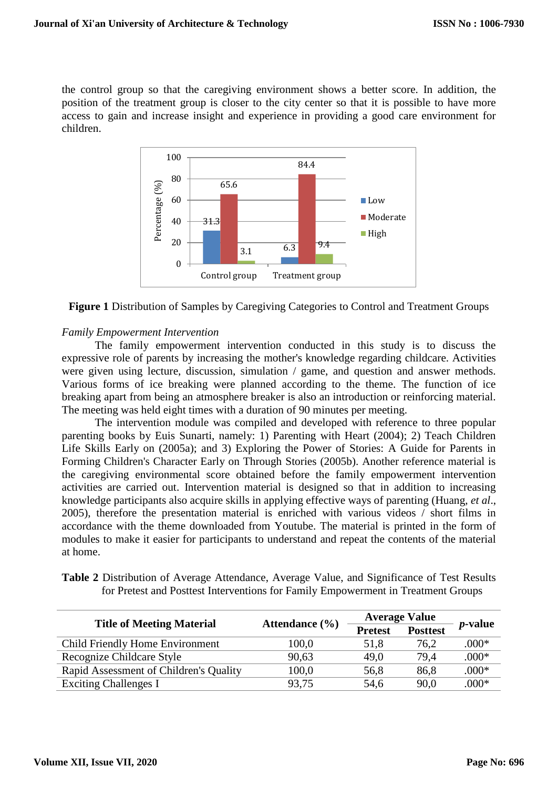the control group so that the caregiving environment shows a better score. In addition, the position of the treatment group is closer to the city center so that it is possible to have more access to gain and increase insight and experience in providing a good care environment for children.





# *Family Empowerment Intervention*

The family empowerment intervention conducted in this study is to discuss the expressive role of parents by increasing the mother's knowledge regarding childcare. Activities were given using lecture, discussion, simulation / game, and question and answer methods. Various forms of ice breaking were planned according to the theme. The function of ice breaking apart from being an atmosphere breaker is also an introduction or reinforcing material. The meeting was held eight times with a duration of 90 minutes per meeting.

The intervention module was compiled and developed with reference to three popular parenting books by Euis Sunarti, namely: 1) Parenting with Heart (2004); 2) Teach Children Life Skills Early on (2005a); and 3) Exploring the Power of Stories: A Guide for Parents in Forming Children's Character Early on Through Stories (2005b). Another reference material is the caregiving environmental score obtained before the family empowerment intervention activities are carried out. Intervention material is designed so that in addition to increasing knowledge participants also acquire skills in applying effective ways of parenting (Huang, *et al*., 2005), therefore the presentation material is enriched with various videos / short films in accordance with the theme downloaded from Youtube. The material is printed in the form of modules to make it easier for participants to understand and repeat the contents of the material at home.

| <b>Table 2</b> Distribution of Average Attendance, Average Value, and Significance of Test Results |  |  |  |
|----------------------------------------------------------------------------------------------------|--|--|--|
| for Pretest and Posttest Interventions for Family Empowerment in Treatment Groups                  |  |  |  |

| <b>Title of Meeting Material</b>       | Attendance $(\% )$ |                | <b>Average Value</b> |                 |
|----------------------------------------|--------------------|----------------|----------------------|-----------------|
|                                        |                    | <b>Pretest</b> | <b>Posttest</b>      | <i>p</i> -value |
| Child Friendly Home Environment        | 100,0              | 51,8           | 76.2                 | $.000*$         |
| Recognize Childcare Style              | 90,63              | 49,0           | 79.4                 | $.000*$         |
| Rapid Assessment of Children's Quality | 100,0              | 56,8           | 86,8                 | $.000*$         |
| <b>Exciting Challenges I</b>           | 93.75              | 54,6           | 90,0                 | $.000*$         |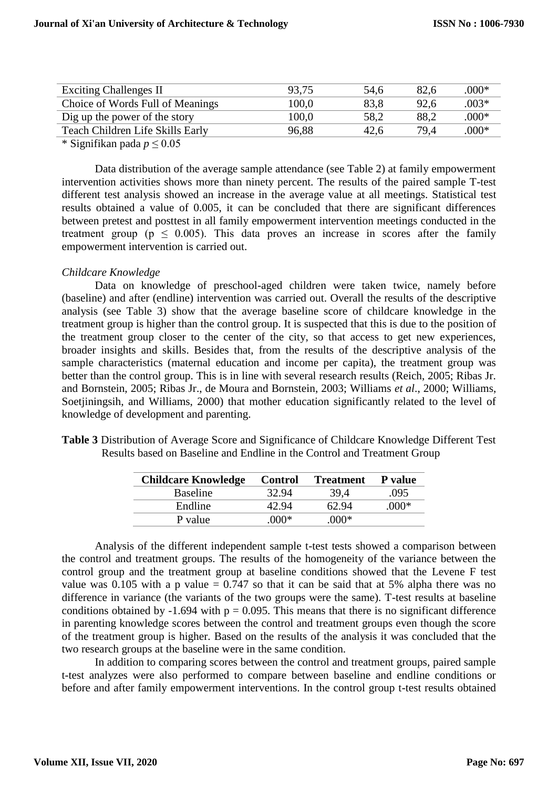| <b>Exciting Challenges II</b>    | 93,75 | 54,6 | 82.6 | $.000*$ |
|----------------------------------|-------|------|------|---------|
| Choice of Words Full of Meanings | 100.0 | 83.8 | 92,6 | $.003*$ |
| Dig up the power of the story    | 100.0 | 58,2 | 88,2 | $.000*$ |
| Teach Children Life Skills Early | 96.88 | 42.6 | 79.4 | $.000*$ |
|                                  |       |      |      |         |

\* Signifikan pada *p* ≤ 0.05

Data distribution of the average sample attendance (see Table 2) at family empowerment intervention activities shows more than ninety percent. The results of the paired sample T-test different test analysis showed an increase in the average value at all meetings. Statistical test results obtained a value of 0.005, it can be concluded that there are significant differences between pretest and posttest in all family empowerment intervention meetings conducted in the treatment group ( $p \leq 0.005$ ). This data proves an increase in scores after the family empowerment intervention is carried out.

# *Childcare Knowledge*

Data on knowledge of preschool-aged children were taken twice, namely before (baseline) and after (endline) intervention was carried out. Overall the results of the descriptive analysis (see Table 3) show that the average baseline score of childcare knowledge in the treatment group is higher than the control group. It is suspected that this is due to the position of the treatment group closer to the center of the city, so that access to get new experiences, broader insights and skills. Besides that, from the results of the descriptive analysis of the sample characteristics (maternal education and income per capita), the treatment group was better than the control group. This is in line with several research results (Reich, 2005; Ribas Jr. and Bornstein, 2005; Ribas Jr., de Moura and Bornstein, 2003; Williams *et al*., 2000; Williams, Soetjiningsih, and Williams, 2000) that mother education significantly related to the level of knowledge of development and parenting.

| Table 3 Distribution of Average Score and Significance of Childcare Knowledge Different Test |
|----------------------------------------------------------------------------------------------|
| Results based on Baseline and Endline in the Control and Treatment Group                     |

| <b>Childcare Knowledge</b> | <b>Control</b> | <b>Treatment</b> | P value |
|----------------------------|----------------|------------------|---------|
| <b>Baseline</b>            | 32.94          | 39.4             | .095    |
| Endline                    | 42.94          | 62.94            | $000*$  |
| P value                    | $000*$         | $000*$           |         |

Analysis of the different independent sample t-test tests showed a comparison between the control and treatment groups. The results of the homogeneity of the variance between the control group and the treatment group at baseline conditions showed that the Levene F test value was 0.105 with a p value  $= 0.747$  so that it can be said that at 5% alpha there was no difference in variance (the variants of the two groups were the same). T-test results at baseline conditions obtained by -1.694 with  $p = 0.095$ . This means that there is no significant difference in parenting knowledge scores between the control and treatment groups even though the score of the treatment group is higher. Based on the results of the analysis it was concluded that the two research groups at the baseline were in the same condition.

In addition to comparing scores between the control and treatment groups, paired sample t-test analyzes were also performed to compare between baseline and endline conditions or before and after family empowerment interventions. In the control group t-test results obtained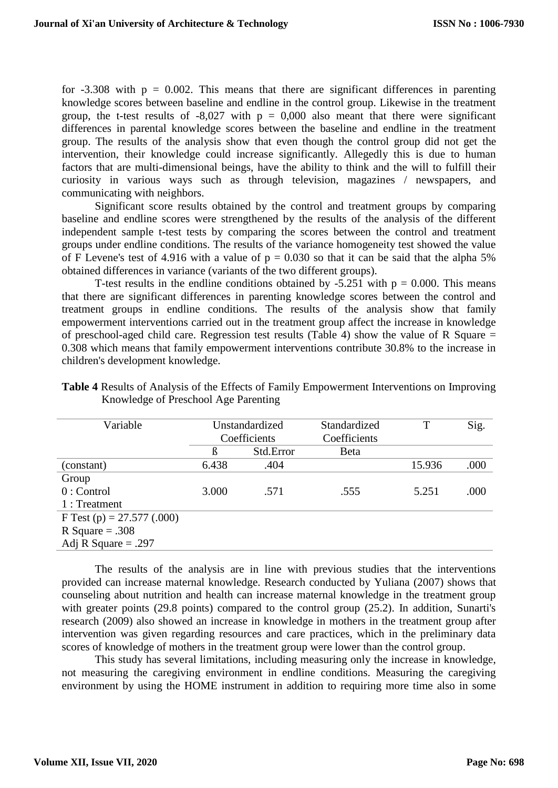for  $-3.308$  with  $p = 0.002$ . This means that there are significant differences in parenting knowledge scores between baseline and endline in the control group. Likewise in the treatment group, the t-test results of  $-8,027$  with  $p = 0,000$  also meant that there were significant differences in parental knowledge scores between the baseline and endline in the treatment group. The results of the analysis show that even though the control group did not get the intervention, their knowledge could increase significantly. Allegedly this is due to human factors that are multi-dimensional beings, have the ability to think and the will to fulfill their curiosity in various ways such as through television, magazines / newspapers, and communicating with neighbors.

Significant score results obtained by the control and treatment groups by comparing baseline and endline scores were strengthened by the results of the analysis of the different independent sample t-test tests by comparing the scores between the control and treatment groups under endline conditions. The results of the variance homogeneity test showed the value of F Levene's test of 4.916 with a value of  $p = 0.030$  so that it can be said that the alpha 5% obtained differences in variance (variants of the two different groups).

T-test results in the endline conditions obtained by  $-5.251$  with  $p = 0.000$ . This means that there are significant differences in parenting knowledge scores between the control and treatment groups in endline conditions. The results of the analysis show that family empowerment interventions carried out in the treatment group affect the increase in knowledge of preschool-aged child care. Regression test results (Table 4) show the value of R Square  $=$ 0.308 which means that family empowerment interventions contribute 30.8% to the increase in children's development knowledge.

| Variable                     | Unstandardized |           | Standardized |        | Sig. |
|------------------------------|----------------|-----------|--------------|--------|------|
|                              | Coefficients   |           | Coefficients |        |      |
|                              | ß              | Std.Error | Beta         |        |      |
| (constant)                   | 6.438          | .404      |              | 15.936 | .000 |
| Group                        |                |           |              |        |      |
| $0:$ Control                 | 3.000          | .571      | .555         | 5.251  | .000 |
| 1 : Treatment                |                |           |              |        |      |
| F Test (p) = $27.577$ (.000) |                |           |              |        |      |
| R Square = $.308$            |                |           |              |        |      |
| Adj R Square $= .297$        |                |           |              |        |      |

**Table 4** Results of Analysis of the Effects of Family Empowerment Interventions on Improving Knowledge of Preschool Age Parenting

The results of the analysis are in line with previous studies that the interventions provided can increase maternal knowledge. Research conducted by Yuliana (2007) shows that counseling about nutrition and health can increase maternal knowledge in the treatment group with greater points (29.8 points) compared to the control group (25.2). In addition, Sunarti's research (2009) also showed an increase in knowledge in mothers in the treatment group after intervention was given regarding resources and care practices, which in the preliminary data scores of knowledge of mothers in the treatment group were lower than the control group.

This study has several limitations, including measuring only the increase in knowledge, not measuring the caregiving environment in endline conditions. Measuring the caregiving environment by using the HOME instrument in addition to requiring more time also in some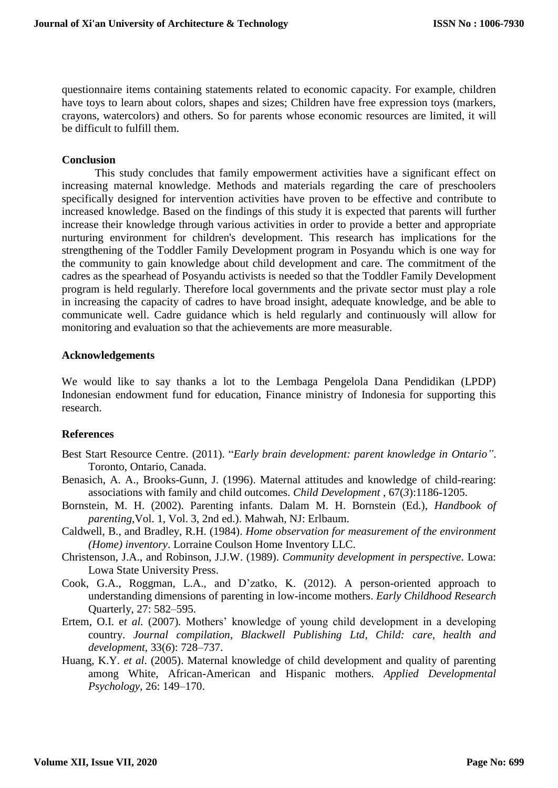questionnaire items containing statements related to economic capacity. For example, children have toys to learn about colors, shapes and sizes; Children have free expression toys (markers, crayons, watercolors) and others. So for parents whose economic resources are limited, it will be difficult to fulfill them.

## **Conclusion**

This study concludes that family empowerment activities have a significant effect on increasing maternal knowledge. Methods and materials regarding the care of preschoolers specifically designed for intervention activities have proven to be effective and contribute to increased knowledge. Based on the findings of this study it is expected that parents will further increase their knowledge through various activities in order to provide a better and appropriate nurturing environment for children's development. This research has implications for the strengthening of the Toddler Family Development program in Posyandu which is one way for the community to gain knowledge about child development and care. The commitment of the cadres as the spearhead of Posyandu activists is needed so that the Toddler Family Development program is held regularly. Therefore local governments and the private sector must play a role in increasing the capacity of cadres to have broad insight, adequate knowledge, and be able to communicate well. Cadre guidance which is held regularly and continuously will allow for monitoring and evaluation so that the achievements are more measurable.

## **Acknowledgements**

We would like to say thanks a lot to the Lembaga Pengelola Dana Pendidikan (LPDP) Indonesian endowment fund for education, Finance ministry of Indonesia for supporting this research.

# **References**

- Best Start Resource Centre. (2011). "*Early brain development: parent knowledge in Ontario"*. Toronto, Ontario, Canada.
- Benasich, A. A., Brooks-Gunn, J. (1996). Maternal attitudes and knowledge of child-rearing: associations with family and child outcomes. *Child Development* , 67(*3*):1186-1205.
- Bornstein, M. H. (2002). Parenting infants. Dalam M. H. Bornstein (Ed.), *Handbook of parenting*,Vol. 1, Vol. 3, 2nd ed.). Mahwah, NJ: Erlbaum.
- Caldwell, B., and Bradley, R.H. (1984). *Home observation for measurement of the environment (Home) inventory*. Lorraine Coulson Home Inventory LLC.
- Christenson, J.A., and Robinson, J.J.W. (1989). *Community development in perspective*. Lowa: Lowa State University Press.
- Cook, G.A., Roggman, L.A., and D'zatko, K. (2012). A person-oriented approach to understanding dimensions of parenting in low-income mothers. *Early Childhood Research*  Quarterly, 27: 582–595.
- Ertem, O.I. e*t al.* (2007)*.* Mothers' knowledge of young child development in a developing country. *Journal compilation*, *Blackwell Publishing Ltd*, *Child: care, health and development,* 33(*6*): 728–737.
- Huang, K.Y. *et al*. (2005). Maternal knowledge of child development and quality of parenting among White, African-American and Hispanic mothers*. Applied Developmental Psychology*, 26: 149–170.